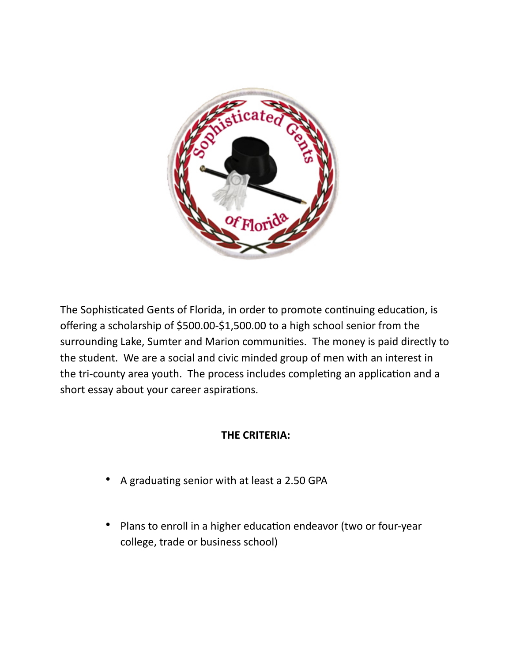

The Sophisticated Gents of Florida, in order to promote continuing education, is offering a scholarship of \$500.00-\$1,500.00 to a high school senior from the surrounding Lake, Sumter and Marion communities. The money is paid directly to the student. We are a social and civic minded group of men with an interest in the tri-county area youth. The process includes completing an application and a short essay about your career aspirations.

#### **THE CRITERIA:**

- A graduating senior with at least a 2.50 GPA
- Plans to enroll in a higher education endeavor (two or four-year college, trade or business school)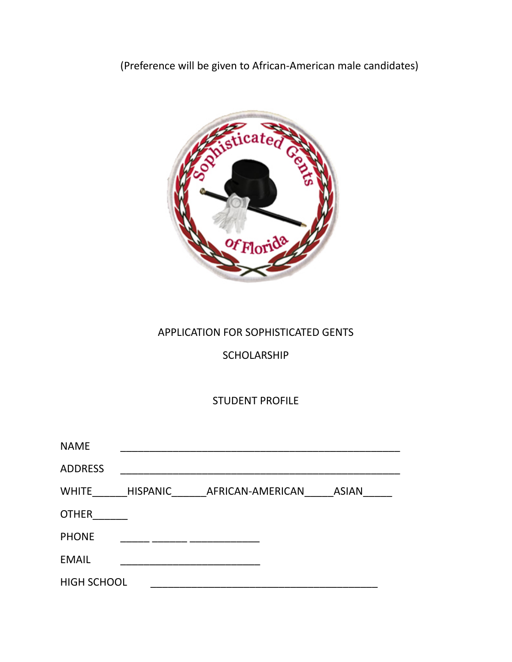(Preference will be given to African-American male candidates)



# APPLICATION FOR SOPHISTICATED GENTS

### SCHOLARSHIP

STUDENT PROFILE

| <b>NAME</b>        |                           |              |
|--------------------|---------------------------|--------------|
| <b>ADDRESS</b>     |                           |              |
| <b>WHITE</b>       | HISPANIC AFRICAN-AMERICAN | <b>ASIAN</b> |
| <b>OTHER</b>       |                           |              |
| <b>PHONE</b>       |                           |              |
| <b>EMAIL</b>       |                           |              |
| <b>HIGH SCHOOL</b> |                           |              |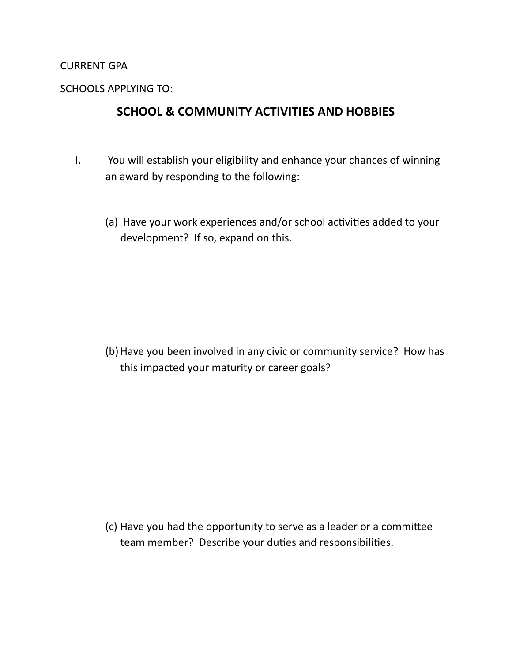CURRENT GPA \_\_\_\_\_\_\_\_\_

SCHOOLS APPLYING TO: \_\_\_\_\_\_\_\_\_\_\_\_\_\_\_\_\_\_\_\_\_\_\_\_\_\_\_\_\_\_\_\_\_\_\_\_\_\_\_\_\_\_\_\_\_

## **SCHOOL & COMMUNITY ACTIVITIES AND HOBBIES**

- I. You will establish your eligibility and enhance your chances of winning an award by responding to the following:
	- (a) Have your work experiences and/or school activities added to your development? If so, expand on this.

(b) Have you been involved in any civic or community service? How has this impacted your maturity or career goals?

(c) Have you had the opportunity to serve as a leader or a committee team member? Describe your duties and responsibilities.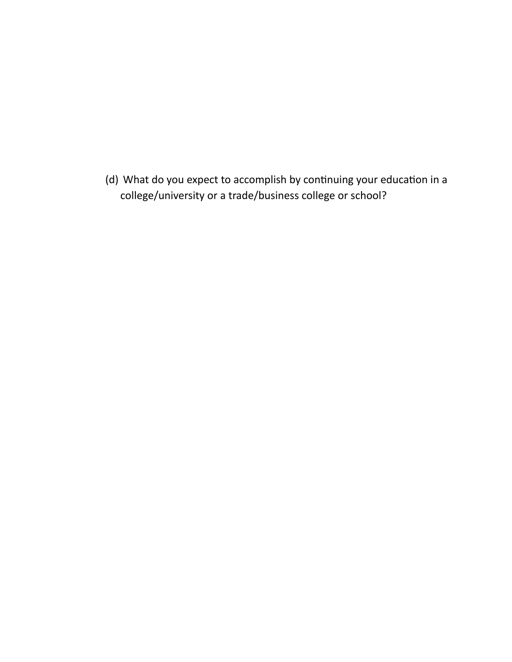(d) What do you expect to accomplish by continuing your education in a college/university or a trade/business college or school?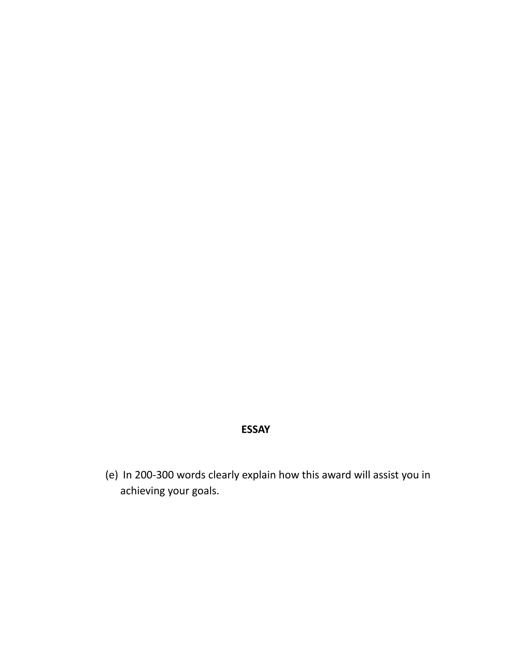# **ESSAY**

(e) In 200-300 words clearly explain how this award will assist you in achieving your goals.